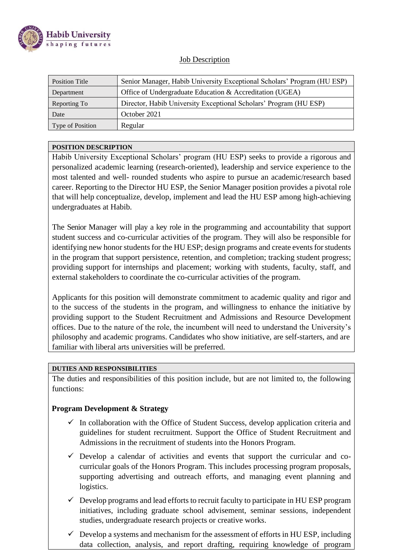

### **Job Description**

| Senior Manager, Habib University Exceptional Scholars' Program (HU ESP) |  |  |
|-------------------------------------------------------------------------|--|--|
| Office of Undergraduate Education & Accreditation (UGEA)                |  |  |
| Director, Habib University Exceptional Scholars' Program (HU ESP)       |  |  |
| October 2021                                                            |  |  |
|                                                                         |  |  |
|                                                                         |  |  |

#### **POSITION DESCRIPTION**

Habib University Exceptional Scholars' program (HU ESP) seeks to provide a rigorous and personalized academic learning (research-oriented), leadership and service experience to the most talented and well- rounded students who aspire to pursue an academic/research based career. Reporting to the Director HU ESP, the Senior Manager position provides a pivotal role that will help conceptualize, develop, implement and lead the HU ESP among high-achieving undergraduates at Habib.

The Senior Manager will play a key role in the programming and accountability that support student success and co-curricular activities of the program. They will also be responsible for identifying new honor students for the HU ESP; design programs and create events for students in the program that support persistence, retention, and completion; tracking student progress; providing support for internships and placement; working with students, faculty, staff, and external stakeholders to coordinate the co-curricular activities of the program.

Applicants for this position will demonstrate commitment to academic quality and rigor and to the success of the students in the program, and willingness to enhance the initiative by providing support to the Student Recruitment and Admissions and Resource Development offices. Due to the nature of the role, the incumbent will need to understand the University's philosophy and academic programs. Candidates who show initiative, are self-starters, and are familiar with liberal arts universities will be preferred.

#### **DUTIES AND RESPONSIBILITIES**

The duties and responsibilities of this position include, but are not limited to, the following functions:

### **Program Development & Strategy**

- $\checkmark$  In collaboration with the Office of Student Success, develop application criteria and guidelines for student recruitment. Support the Office of Student Recruitment and Admissions in the recruitment of students into the Honors Program.
- $\checkmark$  Develop a calendar of activities and events that support the curricular and cocurricular goals of the Honors Program. This includes processing program proposals, supporting advertising and outreach efforts, and managing event planning and logistics.
- $\checkmark$  Develop programs and lead efforts to recruit faculty to participate in HU ESP program initiatives, including graduate school advisement, seminar sessions, independent studies, undergraduate research projects or creative works.
- $\checkmark$  Develop a systems and mechanism for the assessment of efforts in HU ESP, including data collection, analysis, and report drafting, requiring knowledge of program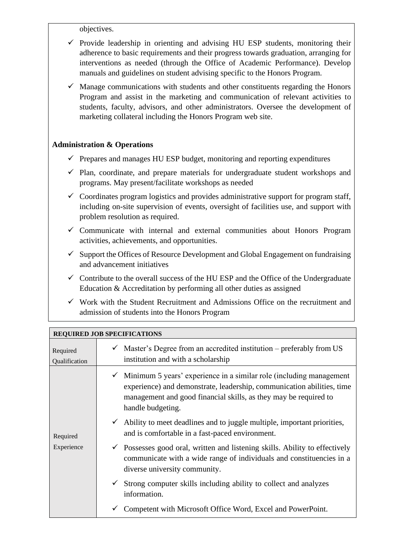objectives.

- $\checkmark$  Provide leadership in orienting and advising HU ESP students, monitoring their adherence to basic requirements and their progress towards graduation, arranging for interventions as needed (through the Office of Academic Performance). Develop manuals and guidelines on student advising specific to the Honors Program.
- $\checkmark$  Manage communications with students and other constituents regarding the Honors Program and assist in the marketing and communication of relevant activities to students, faculty, advisors, and other administrators. Oversee the development of marketing collateral including the Honors Program web site.

### **Administration & Operations**

- $\checkmark$  Prepares and manages HU ESP budget, monitoring and reporting expenditures
- ✓ Plan, coordinate, and prepare materials for undergraduate student workshops and programs. May present/facilitate workshops as needed
- $\checkmark$  Coordinates program logistics and provides administrative support for program staff, including on-site supervision of events, oversight of facilities use, and support with problem resolution as required.
- $\checkmark$  Communicate with internal and external communities about Honors Program activities, achievements, and opportunities.
- $\checkmark$  Support the Offices of Resource Development and Global Engagement on fundraising and advancement initiatives
- $\checkmark$  Contribute to the overall success of the HU ESP and the Office of the Undergraduate Education & Accreditation by performing all other duties as assigned
- $\checkmark$  Work with the Student Recruitment and Admissions Office on the recruitment and admission of students into the Honors Program

| <b>REQUIRED JOB SPECIFICATIONS</b> |                                                                                                                                                                                                                                                     |  |  |
|------------------------------------|-----------------------------------------------------------------------------------------------------------------------------------------------------------------------------------------------------------------------------------------------------|--|--|
| Required<br>Qualification          | $\checkmark$ Master's Degree from an accredited institution – preferably from US<br>institution and with a scholarship                                                                                                                              |  |  |
| Required<br>Experience             | $\checkmark$ Minimum 5 years' experience in a similar role (including management<br>experience) and demonstrate, leadership, communication abilities, time<br>management and good financial skills, as they may be required to<br>handle budgeting. |  |  |
|                                    | $\checkmark$ Ability to meet deadlines and to juggle multiple, important priorities,<br>and is comfortable in a fast-paced environment.                                                                                                             |  |  |
|                                    | $\checkmark$ Possesses good oral, written and listening skills. Ability to effectively<br>communicate with a wide range of individuals and constituencies in a<br>diverse university community.                                                     |  |  |
|                                    | $\checkmark$ Strong computer skills including ability to collect and analyzes<br>information.                                                                                                                                                       |  |  |
|                                    | Competent with Microsoft Office Word, Excel and PowerPoint.                                                                                                                                                                                         |  |  |